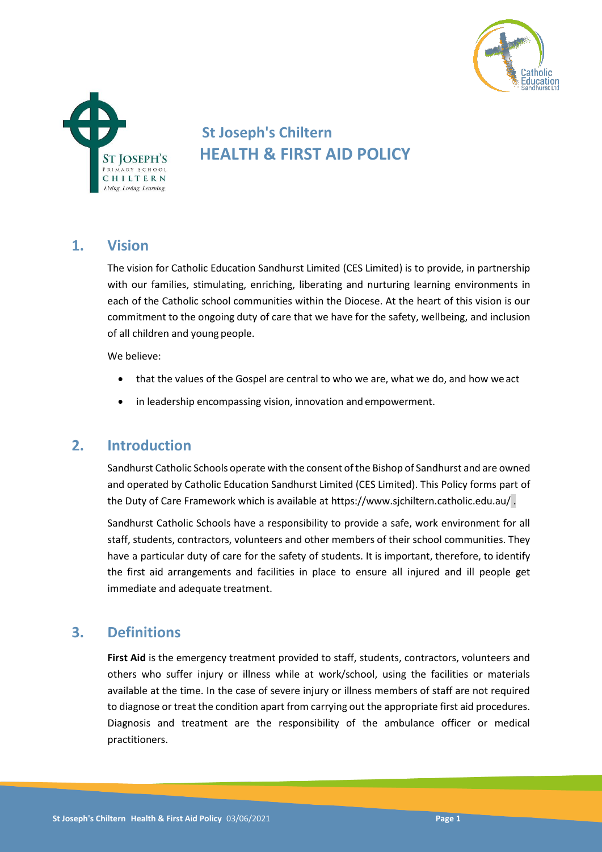



# **St Joseph's Chiltern HEALTH & FIRST AID POLICY**

# **1. Vision**

The vision for Catholic Education Sandhurst Limited (CES Limited) is to provide, in partnership with our families, stimulating, enriching, liberating and nurturing learning environments in each of the Catholic school communities within the Diocese. At the heart of this vision is our commitment to the ongoing duty of care that we have for the safety, wellbeing, and inclusion of all children and young people.

We believe:

- that the values of the Gospel are central to who we are, what we do, and how we act
- in leadership encompassing vision, innovation and empowerment.

# **2. Introduction**

Sandhurst Catholic Schools operate with the consent of the Bishop of Sandhurst and are owned and operated by Catholic Education Sandhurst Limited (CES Limited). This Policy forms part of the Duty of Care Framework which is available at https://www.sjchiltern.catholic.edu.au/ .

Sandhurst Catholic Schools have a responsibility to provide a safe, work environment for all staff, students, contractors, volunteers and other members of their school communities. They have a particular duty of care for the safety of students. It is important, therefore, to identify the first aid arrangements and facilities in place to ensure all injured and ill people get immediate and adequate treatment.

# **3. Definitions**

**First Aid** is the emergency treatment provided to staff, students, contractors, volunteers and others who suffer injury or illness while at work/school, using the facilities or materials available at the time. In the case of severe injury or illness members of staff are not required to diagnose or treat the condition apart from carrying out the appropriate first aid procedures. Diagnosis and treatment are the responsibility of the ambulance officer or medical practitioners.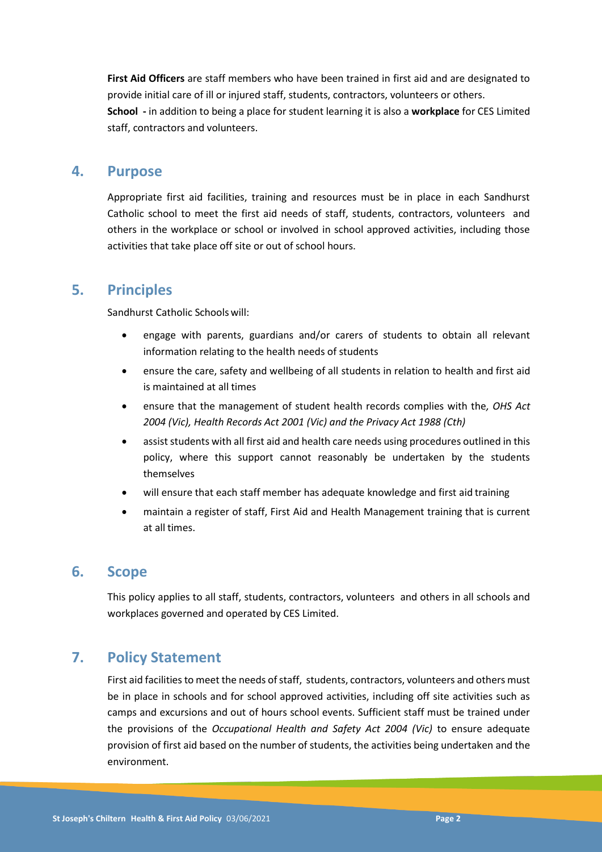**First Aid Officers** are staff members who have been trained in first aid and are designated to provide initial care of ill or injured staff, students, contractors, volunteers or others. **School -** in addition to being a place for student learning it is also a **workplace** for CES Limited staff, contractors and volunteers.

### **4. Purpose**

Appropriate first aid facilities, training and resources must be in place in each Sandhurst Catholic school to meet the first aid needs of staff, students, contractors, volunteers and others in the workplace or school or involved in school approved activities, including those activities that take place off site or out of school hours.

### **5. Principles**

Sandhurst Catholic Schoolswill:

- engage with parents, guardians and/or carers of students to obtain all relevant information relating to the health needs of students
- ensure the care, safety and wellbeing of all students in relation to health and first aid is maintained at all times
- ensure that the management of student health records complies with the*, OHS Act 2004 (Vic), Health Records Act 2001 (Vic) and the Privacy Act 1988 (Cth)*
- assist students with all first aid and health care needs using procedures outlined in this policy, where this support cannot reasonably be undertaken by the students themselves
- will ensure that each staff member has adequate knowledge and first aid training
- maintain a register of staff, First Aid and Health Management training that is current at all times.

### **6. Scope**

This policy applies to all staff, students, contractors, volunteers and others in all schools and workplaces governed and operated by CES Limited.

# **7. Policy Statement**

First aid facilities to meet the needs of staff, students, contractors, volunteers and others must be in place in schools and for school approved activities, including off site activities such as camps and excursions and out of hours school events. Sufficient staff must be trained under the provisions of the *Occupational Health and Safety Act 2004 (Vic)* to ensure adequate provision of first aid based on the number of students, the activities being undertaken and the environment.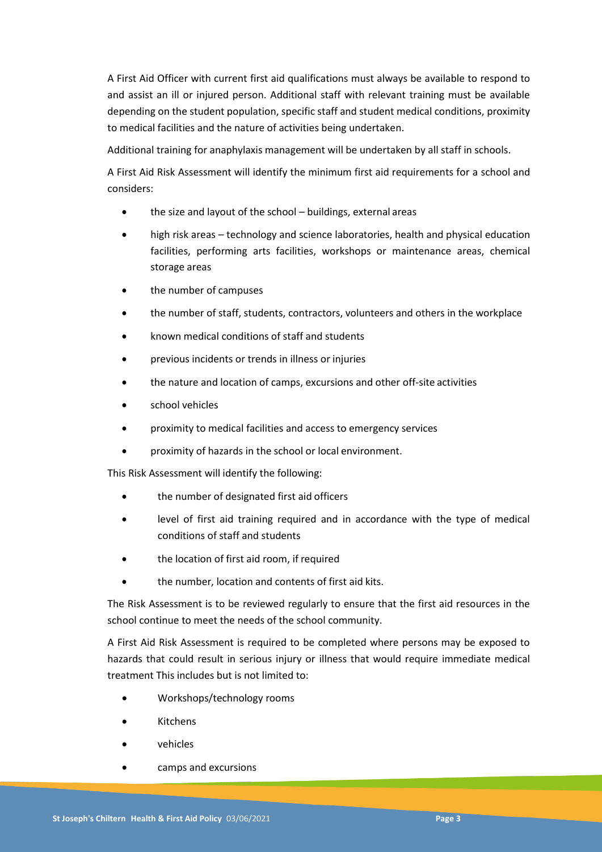A First Aid Officer with current first aid qualifications must always be available to respond to and assist an ill or injured person. Additional staff with relevant training must be available depending on the student population, specific staff and student medical conditions, proximity to medical facilities and the nature of activities being undertaken.

Additional training for anaphylaxis management will be undertaken by all staff in schools.

A First Aid Risk Assessment will identify the minimum first aid requirements for a school and considers:

- the size and layout of the school buildings, external areas
- high risk areas technology and science laboratories, health and physical education facilities, performing arts facilities, workshops or maintenance areas, chemical storage areas
- the number of campuses
- the number of staff, students, contractors, volunteers and others in the workplace
- known medical conditions of staff and students
- previous incidents or trends in illness or injuries
- the nature and location of camps, excursions and other off-site activities
- school vehicles
- proximity to medical facilities and access to emergency services
- proximity of hazards in the school or local environment.

This Risk Assessment will identify the following:

- the number of designated first aid officers
- level of first aid training required and in accordance with the type of medical conditions of staff and students
- the location of first aid room, if required
- the number, location and contents of first aid kits.

The Risk Assessment is to be reviewed regularly to ensure that the first aid resources in the school continue to meet the needs of the school community.

A First Aid Risk Assessment is required to be completed where persons may be exposed to hazards that could result in serious injury or illness that would require immediate medical treatment This includes but is not limited to:

- Workshops/technology rooms
- Kitchens
- vehicles
- camps and excursions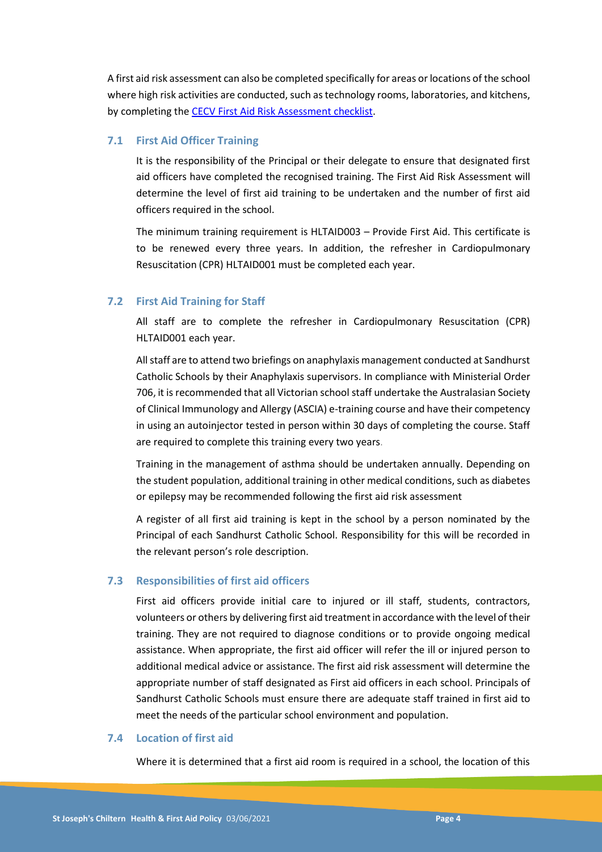A first aid risk assessment can also be completed specifically for areas or locations of the school where high risk activities are conducted, such as technology rooms, laboratories, and kitchens, by completing th[e CECV First Aid Risk Assessment checklist.](https://www.cecv.catholic.edu.au/OHS-WorkCover/Resources/First-Aid)

#### **7.1 First Aid Officer Training**

It is the responsibility of the Principal or their delegate to ensure that designated first aid officers have completed the recognised training. The First Aid Risk Assessment will determine the level of first aid training to be undertaken and the number of first aid officers required in the school.

The minimum training requirement is HLTAID003 – Provide First Aid. This certificate is to be renewed every three years. In addition, the refresher in Cardiopulmonary Resuscitation (CPR) HLTAID001 must be completed each year.

#### **7.2 First Aid Training for Staff**

All staff are to complete the refresher in Cardiopulmonary Resuscitation (CPR) HLTAID001 each year.

All staff are to attend two briefings on anaphylaxis management conducted at Sandhurst Catholic Schools by their Anaphylaxis supervisors. In compliance with Ministerial Order 706, it is recommended that all Victorian school staff undertake the Australasian Society of Clinical Immunology and Allergy (ASCIA) e-training course and have their competency in using an autoinjector tested in person within 30 days of completing the course. Staff are required to complete this training every two years.

Training in the management of asthma should be undertaken annually. Depending on the student population, additional training in other medical conditions, such as diabetes or epilepsy may be recommended following the first aid risk assessment

A register of all first aid training is kept in the school by a person nominated by the Principal of each Sandhurst Catholic School. Responsibility for this will be recorded in the relevant person's role description.

#### **7.3 Responsibilities of first aid officers**

First aid officers provide initial care to injured or ill staff, students, contractors, volunteers or others by delivering first aid treatmentin accordance with the level oftheir training. They are not required to diagnose conditions or to provide ongoing medical assistance. When appropriate, the first aid officer will refer the ill or injured person to additional medical advice or assistance. The first aid risk assessment will determine the appropriate number of staff designated as First aid officers in each school. Principals of Sandhurst Catholic Schools must ensure there are adequate staff trained in first aid to meet the needs of the particular school environment and population.

#### **7.4 Location of first aid**

Where it is determined that a first aid room is required in a school, the location of this